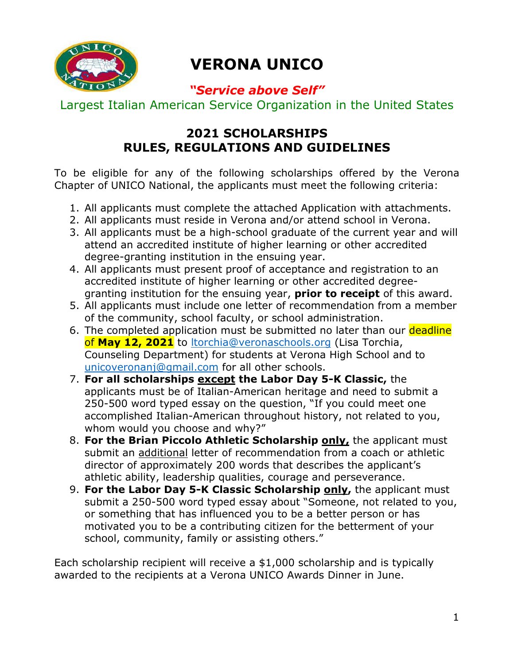

# **VERONA UNICO**

# *"Service above Self"*

Largest Italian American Service Organization in the United States

# **2021 SCHOLARSHIPS RULES, REGULATIONS AND GUIDELINES**

To be eligible for any of the following scholarships offered by the Verona Chapter of UNICO National, the applicants must meet the following criteria:

- 1. All applicants must complete the attached Application with attachments.
- 2. All applicants must reside in Verona and/or attend school in Verona.
- 3. All applicants must be a high-school graduate of the current year and will attend an accredited institute of higher learning or other accredited degree-granting institution in the ensuing year.
- 4. All applicants must present proof of acceptance and registration to an accredited institute of higher learning or other accredited degreegranting institution for the ensuing year, **prior to receipt** of this award.
- 5. All applicants must include one letter of recommendation from a member of the community, school faculty, or school administration.
- 6. The completed application must be submitted no later than our deadline of **May 12, 2021** to ltorchia@veronaschools.org (Lisa Torchia, Counseling Department) for students at Verona High School and to unicoveronanj@gmail.com for all other schools.
- 7. **For all scholarships except the Labor Day 5-K Classic,** the applicants must be of Italian-American heritage and need to submit a 250-500 word typed essay on the question, "If you could meet one accomplished Italian-American throughout history, not related to you, whom would you choose and why?"
- 8. **For the Brian Piccolo Athletic Scholarship only,** the applicant must submit an additional letter of recommendation from a coach or athletic director of approximately 200 words that describes the applicant's athletic ability, leadership qualities, courage and perseverance.
- 9. **For the Labor Day 5-K Classic Scholarship only,** the applicant must submit a 250-500 word typed essay about "Someone, not related to you, or something that has influenced you to be a better person or has motivated you to be a contributing citizen for the betterment of your school, community, family or assisting others."

Each scholarship recipient will receive a \$1,000 scholarship and is typically awarded to the recipients at a Verona UNICO Awards Dinner in June.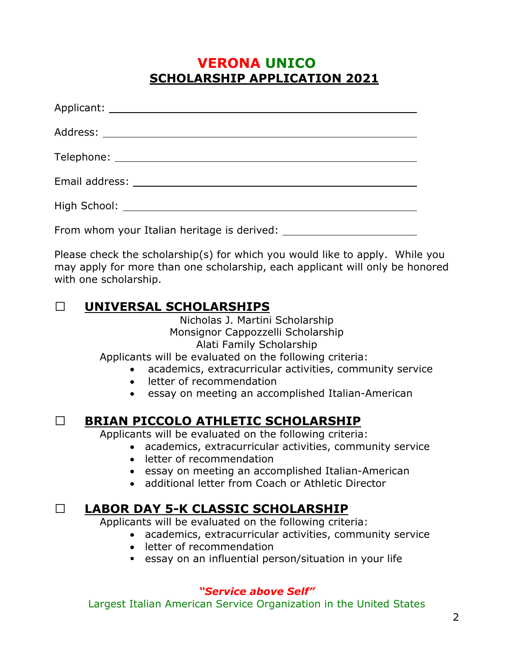### **VERONA UNICO SCHOLARSHIP APPLICATION 2021**

| From whom your Italian heritage is derived: |
|---------------------------------------------|

Please check the scholarship(s) for which you would like to apply. While you may apply for more than one scholarship, each applicant will only be honored with one scholarship.

#### **UNIVERSAL SCHOLARSHIPS**

Nicholas J. Martini Scholarship Monsignor Cappozzelli Scholarship Alati Family Scholarship

Applicants will be evaluated on the following criteria:

- academics, extracurricular activities, community service
- letter of recommendation
- essay on meeting an accomplished Italian-American

### **BRIAN PICCOLO ATHLETIC SCHOLARSHIP**

Applicants will be evaluated on the following criteria:

- academics, extracurricular activities, community service
- letter of recommendation
- **e** essay on meeting an accomplished Italian-American
- additional letter from Coach or Athletic Director

### **LABOR DAY 5-K CLASSIC SCHOLARSHIP**

Applicants will be evaluated on the following criteria:

- academics, extracurricular activities, community service
- letter of recommendation
- essay on an influential person/situation in your life

#### *"Service above Self"*

Largest Italian American Service Organization in the United States